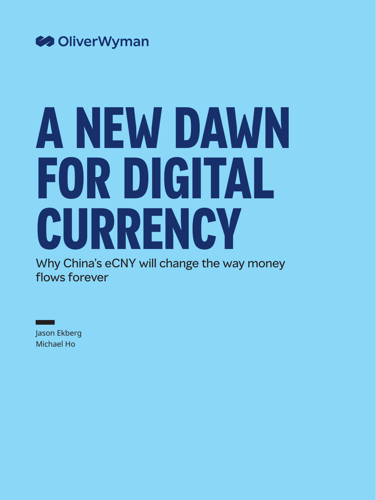

# **A NEW DAWN FOR DIGITAL CURRENCY**

Why China's eCNY will change the way money flows forever

Jason Ekberg Michael Ho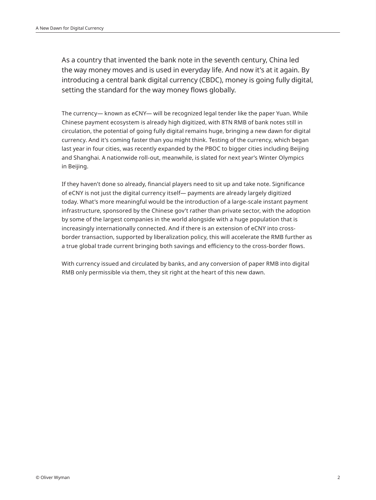As a country that invented the bank note in the seventh century, China led the way money moves and is used in everyday life. And now it's at it again. By introducing a central bank digital currency (CBDC), money is going fully digital, setting the standard for the way money flows globally.

The currency— known as eCNY— will be recognized legal tender like the paper Yuan. While Chinese payment ecosystem is already high digitized, with 8TN RMB of bank notes still in circulation, the potential of going fully digital remains huge, bringing a new dawn for digital currency. And it's coming faster than you might think. Testing of the currency, which began last year in four cities, was recently expanded by the PBOC to bigger cities including Beijing and Shanghai. A nationwide roll-out, meanwhile, is slated for next year's Winter Olympics in Beijing.

If they haven't done so already, financial players need to sit up and take note. Significance of eCNY is not just the digital currency itself— payments are already largely digitized today. What's more meaningful would be the introduction of a large-scale instant payment infrastructure, sponsored by the Chinese gov't rather than private sector, with the adoption by some of the largest companies in the world alongside with a huge population that is increasingly internationally connected. And if there is an extension of eCNY into crossborder transaction, supported by liberalization policy, this will accelerate the RMB further as a true global trade current bringing both savings and efficiency to the cross-border flows.

With currency issued and circulated by banks, and any conversion of paper RMB into digital RMB only permissible via them, they sit right at the heart of this new dawn.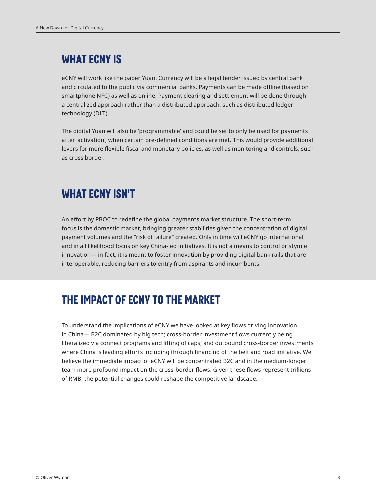# **WHAT ECNY IS**

eCNY will work like the paper Yuan. Currency will be a legal tender issued by central bank and circulated to the public via commercial banks. Payments can be made offline (based on smartphone NFC) as well as online. Payment clearing and settlement will be done through a centralized approach rather than a distributed approach, such as distributed ledger technology (DLT).

The digital Yuan will also be 'programmable' and could be set to only be used for payments after 'activation', when certain pre-defined conditions are met. This would provide additional levers for more flexible fiscal and monetary policies, as well as monitoring and controls, such as cross border.

# **WHAT ECNY ISN'T**

An effort by PBOC to redefine the global payments market structure. The short-term focus is the domestic market, bringing greater stabilities given the concentration of digital payment volumes and the "risk of failure" created. Only in time will eCNY go international and in all likelihood focus on key China-led initiatives. It is not a means to control or stymie innovation— in fact, it is meant to foster innovation by providing digital bank rails that are interoperable, reducing barriers to entry from aspirants and incumbents.

# **THE IMPACT OF ECNY TO THE MARKET**

To understand the implications of eCNY we have looked at key flows driving innovation in China— B2C dominated by big tech; cross-border investment flows currently being liberalized via connect programs and lifting of caps; and outbound cross-border investments where China is leading efforts including through financing of the belt and road initiative. We believe the immediate impact of eCNY will be concentrated B2C and in the medium-longer team more profound impact on the cross-border flows. Given these flows represent trillions of RMB, the potential changes could reshape the competitive landscape.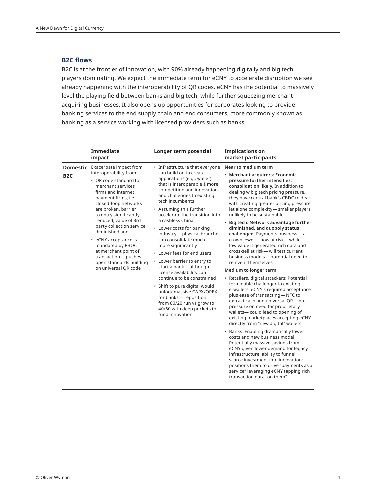# **B2C flows**

B2C is at the frontier of innovation, with 90% already happening digitally and big tech players dominating. We expect the immediate term for eCNY to accelerate disruption we see already happening with the interoperability of QR codes. eCNY has the potential to massively level the playing field between banks and big tech, while further squeezing merchant acquiring businesses. It also opens up opportunities for corporates looking to provide banking services to the end supply chain and end consumers, more commonly known as banking as a service working with licensed providers such as banks.

|                  | <b>Immediate</b><br>impact                                                                                                                                                                                                                                                                                                                                                                                                                               | Longer term potential                                                                                                                                                                                                                                                                                                                                                                                                                                                                                                                                                                                                                                                                                                | <b>Implications on</b><br>market participants                                                                                                                                                                                                                                                                                                                                                                                                                                                                                                                                                                                                                                                                                                                                                                                                                                                                                                                                                                                                                                                                                                                                                                                                                                                                                                                     |
|------------------|----------------------------------------------------------------------------------------------------------------------------------------------------------------------------------------------------------------------------------------------------------------------------------------------------------------------------------------------------------------------------------------------------------------------------------------------------------|----------------------------------------------------------------------------------------------------------------------------------------------------------------------------------------------------------------------------------------------------------------------------------------------------------------------------------------------------------------------------------------------------------------------------------------------------------------------------------------------------------------------------------------------------------------------------------------------------------------------------------------------------------------------------------------------------------------------|-------------------------------------------------------------------------------------------------------------------------------------------------------------------------------------------------------------------------------------------------------------------------------------------------------------------------------------------------------------------------------------------------------------------------------------------------------------------------------------------------------------------------------------------------------------------------------------------------------------------------------------------------------------------------------------------------------------------------------------------------------------------------------------------------------------------------------------------------------------------------------------------------------------------------------------------------------------------------------------------------------------------------------------------------------------------------------------------------------------------------------------------------------------------------------------------------------------------------------------------------------------------------------------------------------------------------------------------------------------------|
| B <sub>2</sub> C | <b>Domestic</b> Exacerbate impact from<br>interoperability from<br>• QR code standard to<br>merchant services<br>firms and internet<br>payment firms, i.e.<br>closed-loop networks<br>are broken, barrier<br>to entry significantly<br>reduced, value of 3rd<br>party collection service<br>diminished and<br>• eCNY acceptance is<br>mandated by PBOC<br>at merchant point of<br>transaction- pushes<br>open standards building<br>on universal QR code | • Infrastructure that everyone<br>can build on to create<br>applications (e.g., wallet)<br>that is interoperable à more<br>competition and innovation<br>and challenges to existing<br>tech incumbents<br>• Assuming this further<br>accelerate the transition into<br>a cashless China<br>• Lower costs for banking<br>industry- physical branches<br>can consolidate much<br>more significantly<br>• Lower fees for end users<br>• Lower barrier to entry to<br>start a bank-although<br>license availability can<br>continue to be constrained<br>• Shift to pure digital would<br>unlock massive CAPX/OPEX<br>for banks-reposition<br>from 80/20 run vs grow to<br>40/60 with deep pockets to<br>fund innovation | Near to medium term<br>• Merchant acquirers: Economic<br>pressure further intensifies;<br>consolidation likely. In addition to<br>dealing w big tech pricing pressure,<br>they have central bank's CBDC to deal<br>with creating greater pricing pressure<br>let alone complexity- smaller players<br>unlikely to be sustainable<br>• Big tech: Network advantage further<br>diminished, and duopoly status<br>challenged. Payments business-a<br>crown jewel- now at risk-while<br>low value it generated rich data and<br>cross-sell at risk- will test current<br>business models- potential need to<br>reinvent themselves<br>Medium to longer term<br>• Retailers, digital attackers: Potential<br>formidable challenger to existing<br>e-wallets. eCNY's required acceptance<br>plus ease of transacting-NFC to<br>extract cash and universal QR- put<br>pressure on need for proprietary<br>wallets-could lead to opening of<br>existing marketplaces accepting eCNY<br>directly from "new digital" wallets<br>• Banks: Enabling dramatically lower<br>costs and new business model.<br>Potentially massive savings from<br>eCNY given lower demand for legacy<br>infrastructure; ability to funnel<br>scarce investment into innovation;<br>positions them to drive "payments as a<br>service" leveraging eCNY tapping rich<br>transaction data "on them" |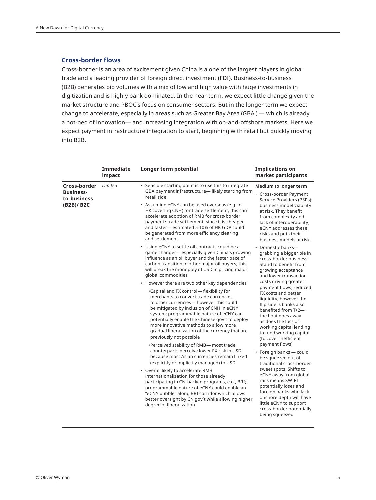## **Cross-border flows**

Cross-border is an area of excitement given China is a one of the largest players in global trade and a leading provider of foreign direct investment (FDI). Business-to-business (B2B) generates big volumes with a mix of low and high value with huge investments in digitization and is highly bank dominated. In the near-term, we expect little change given the market structure and PBOC's focus on consumer sectors. But in the longer term we expect change to accelerate, especially in areas such as Greater Bay Area (GBA ) — which is already a hot-bed of innovation— and increasing integration with on-and-offshore markets. Here we expect payment infrastructure integration to start, beginning with retail but quickly moving into B2B.

|                                                 | Immediate<br>impact | Longer term potential                                                                                                                                                                                                                                                                                                                                                                         | <b>Implications on</b><br>market participants                                                                                                                                                                                                                                                                                                                                                                       |
|-------------------------------------------------|---------------------|-----------------------------------------------------------------------------------------------------------------------------------------------------------------------------------------------------------------------------------------------------------------------------------------------------------------------------------------------------------------------------------------------|---------------------------------------------------------------------------------------------------------------------------------------------------------------------------------------------------------------------------------------------------------------------------------------------------------------------------------------------------------------------------------------------------------------------|
| Cross-border<br><b>Business-</b><br>to-business | Limited             | • Sensible starting point is to use this to integrate<br>GBA payment infrastructure-likely starting from<br>retail side                                                                                                                                                                                                                                                                       | Medium to longer term<br>• Cross-border Payment<br>Service Providers (PSPs):<br>business model viability<br>at risk. They benefit<br>from complexity and<br>lack of interoperability;<br>eCNY addresses these<br>risks and puts their<br>business models at risk<br>• Domestic banks-<br>grabbing a bigger pie in<br>cross-border business.<br>Stand to benefit from<br>growing acceptance<br>and lower transaction |
| (B2B)/B2C                                       |                     | • Assuming eCNY can be used overseas (e.g. in<br>HK covering CNH) for trade settlement, this can<br>accelerate adoption of RMB for cross-border<br>payment/ trade settlement, since it is cheaper<br>and faster- estimated 5-10% of HK GDP could<br>be generated from more efficiency clearing<br>and settlement                                                                              |                                                                                                                                                                                                                                                                                                                                                                                                                     |
|                                                 |                     | • Using eCNY to settle oil contracts could be a<br>game changer- especially given China's growing<br>influence as an oil buyer and the faster pace of<br>carbon transition in other major oil buyers; this<br>will break the monopoly of USD in pricing major<br>global commodities                                                                                                           |                                                                                                                                                                                                                                                                                                                                                                                                                     |
|                                                 |                     | • However there are two other key dependencies                                                                                                                                                                                                                                                                                                                                                | costs driving greater<br>payment flows, reduced                                                                                                                                                                                                                                                                                                                                                                     |
|                                                 |                     | . Capital and FX control- flexibility for<br>merchants to convert trade currencies<br>to other currencies— however this could<br>be mitigated by inclusion of CNH in eCNY<br>system; programmable nature of eCNY can<br>potentially enable the Chinese gov't to deploy<br>more innovative methods to allow more<br>gradual liberalization of the currency that are<br>previously not possible | FX costs and better<br>liquidity; however the<br>flip side is banks also<br>benefited from T+2-<br>the float goes away<br>as does the loss of<br>working capital lending<br>to fund working capital<br>(to cover inefficient                                                                                                                                                                                        |
|                                                 |                     | . Perceived stability of RMB- most trade<br>counterparts perceive lower FX risk in USD<br>because most Asian currencies remain linked<br>(explicitly or implicitly managed) to USD                                                                                                                                                                                                            | payment flows)<br>• Foreign banks - could<br>be squeezed out of<br>traditional cross-border<br>sweet spots. Shifts to<br>eCNY away from global<br>rails means SWIFT<br>potentially loses and<br>foreign banks who lack<br>onshore depth will have<br>little eCNY to support<br>cross-border potentially<br>being squeezed                                                                                           |
|                                                 |                     | • Overall likely to accelerate RMB<br>internationalization for those already<br>participating in CN-backed programs, e.g., BRI;<br>programmable nature of eCNY could enable an<br>"eCNY bubble" along BRI corridor which allows<br>better oversight by CN gov't while allowing higher<br>degree of liberalization                                                                             |                                                                                                                                                                                                                                                                                                                                                                                                                     |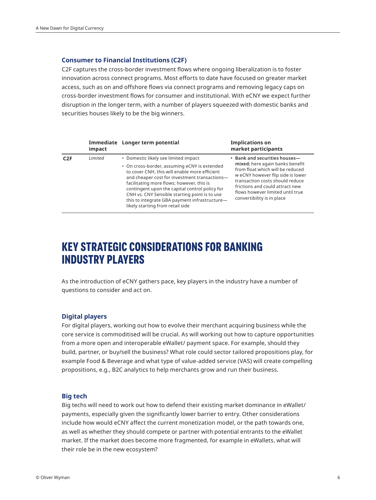### **Consumer to Financial Institutions (C2F)**

C2F captures the cross-border investment flows where ongoing liberalization is to foster innovation across connect programs. Most efforts to date have focused on greater market access, such as on and offshore flows via connect programs and removing legacy caps on cross-border investment flows for consumer and institutional. With eCNY we expect further disruption in the longer term, with a number of players squeezed with domestic banks and securities houses likely to be the big winners.

|                  | impact  | Immediate Longer term potential                                                                                                                                                                                                                                                                                                                                                                                             | <b>Implications on</b><br>market participants                                                                                                                                                                                                                                     |
|------------------|---------|-----------------------------------------------------------------------------------------------------------------------------------------------------------------------------------------------------------------------------------------------------------------------------------------------------------------------------------------------------------------------------------------------------------------------------|-----------------------------------------------------------------------------------------------------------------------------------------------------------------------------------------------------------------------------------------------------------------------------------|
| C <sub>2</sub> F | Limited | • Domestic likely see limited impact<br>• On cross-border, assuming eCNY is extended<br>to cover CNH, this will enable more efficient<br>and cheaper cost for investment transactions-<br>facilitating more flows; however, this is<br>contingent upon the capital control policy for<br>CNH vs. CNY Sensible starting point is to use<br>this to integrate GBA payment infrastructure-<br>likely starting from retail side | • Bank and securities houses-<br>mixed; here again banks benefit<br>from float which will be reduced<br>w eCNY however flip side is lower<br>transaction costs should reduce<br>frictions and could attract new<br>flows however limited until true<br>convertibility is in place |

# **KEY STRATEGIC CONSIDERATIONS FOR BANKING INDUSTRY PLAYERS**

As the introduction of eCNY gathers pace, key players in the industry have a number of questions to consider and act on.

#### **Digital players**

For digital players, working out how to evolve their merchant acquiring business while the core service is commoditised will be crucial. As will working out how to capture opportunities from a more open and interoperable eWallet/ payment space. For example, should they build, partner, or buy/sell the business? What role could sector tailored propositions play, for example Food & Beverage and what type of value-added service (VAS) will create compelling propositions, e.g., B2C analytics to help merchants grow and run their business.

## **Big tech**

Big techs will need to work out how to defend their existing market dominance in eWallet/ payments, especially given the significantly lower barrier to entry. Other considerations include how would eCNY affect the current monetization model, or the path towards one, as well as whether they should compete or partner with potential entrants to the eWallet market. If the market does become more fragmented, for example in eWallets, what will their role be in the new ecosystem?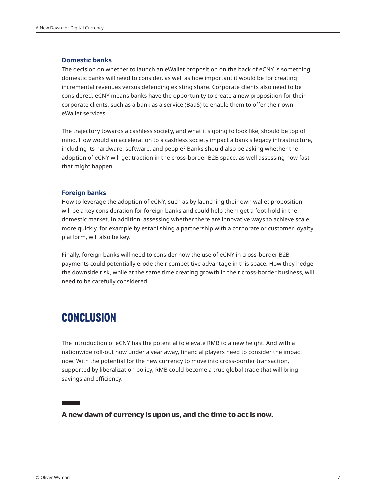#### **Domestic banks**

The decision on whether to launch an eWallet proposition on the back of eCNY is something domestic banks will need to consider, as well as how important it would be for creating incremental revenues versus defending existing share. Corporate clients also need to be considered. eCNY means banks have the opportunity to create a new proposition for their corporate clients, such as a bank as a service (BaaS) to enable them to offer their own eWallet services.

The trajectory towards a cashless society, and what it's going to look like, should be top of mind. How would an acceleration to a cashless society impact a bank's legacy infrastructure, including its hardware, software, and people? Banks should also be asking whether the adoption of eCNY will get traction in the cross-border B2B space, as well assessing how fast that might happen.

#### **Foreign banks**

How to leverage the adoption of eCNY, such as by launching their own wallet proposition, will be a key consideration for foreign banks and could help them get a foot-hold in the domestic market. In addition, assessing whether there are innovative ways to achieve scale more quickly, for example by establishing a partnership with a corporate or customer loyalty platform, will also be key.

Finally, foreign banks will need to consider how the use of eCNY in cross-border B2B payments could potentially erode their competitive advantage in this space. How they hedge the downside risk, while at the same time creating growth in their cross-border business, will need to be carefully considered.

# **CONCLUSION**

The introduction of eCNY has the potential to elevate RMB to a new height. And with a nationwide roll-out now under a year away, financial players need to consider the impact now. With the potential for the new currency to move into cross-border transaction, supported by liberalization policy, RMB could become a true global trade that will bring savings and efficiency.

## **A new dawn of currency is upon us, and the time to act is now.**